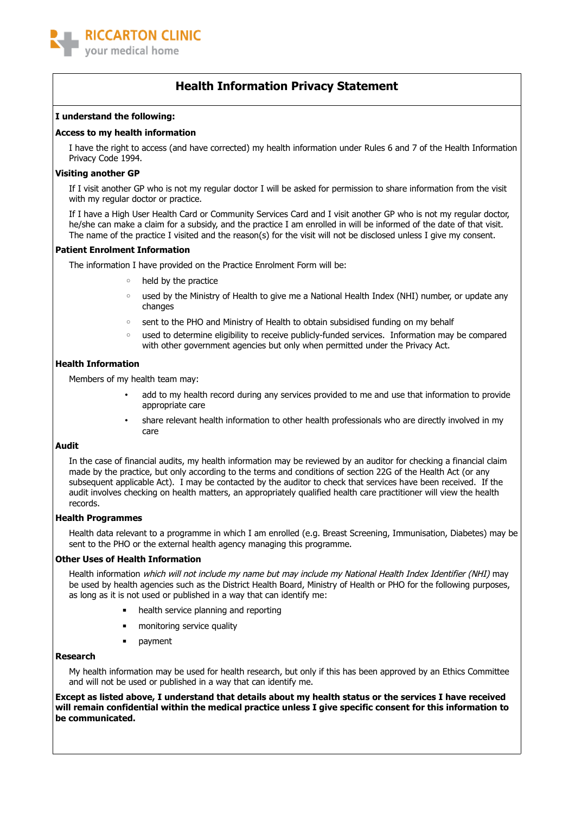

## **Health Information Privacy Statement**

### **I understand the following:**

### **Access to my health information**

I have the right to access (and have corrected) my health information under Rules 6 and 7 of the Health Information Privacy Code 1994.

### **Visiting another GP**

If I visit another GP who is not my regular doctor I will be asked for permission to share information from the visit with my regular doctor or practice.

If I have a High User Health Card or Community Services Card and I visit another GP who is not my regular doctor, he/she can make a claim for a subsidy, and the practice I am enrolled in will be informed of the date of that visit. The name of the practice I visited and the reason(s) for the visit will not be disclosed unless I give my consent.

### **Patient Enrolment Information**

The information I have provided on the Practice Enrolment Form will be:

- held by the practice
- used by the Ministry of Health to give me a National Health Index (NHI) number, or update any changes
- sent to the PHO and Ministry of Health to obtain subsidised funding on my behalf
- used to determine eligibility to receive publicly-funded services. Information may be compared with other government agencies but only when permitted under the Privacy Act.

### **Health Information**

Members of my health team may:

- add to my health record during any services provided to me and use that information to provide appropriate care
- share relevant health information to other health professionals who are directly involved in my care

### **Audit**

In the case of financial audits, my health information may be reviewed by an auditor for checking a financial claim made by the practice, but only according to the terms and conditions of section 22G of the Health Act (or any subsequent applicable Act). I may be contacted by the auditor to check that services have been received. If the audit involves checking on health matters, an appropriately qualified health care practitioner will view the health records.

### **Health Programmes**

Health data relevant to a programme in which I am enrolled (e.g. Breast Screening, Immunisation, Diabetes) may be sent to the PHO or the external health agency managing this programme.

### **Other Uses of Health Information**

Health information which will not include my name but may include my National Health Index Identifier (NHI) may be used by health agencies such as the District Health Board, Ministry of Health or PHO for the following purposes, as long as it is not used or published in a way that can identify me:

- **■** health service planning and reporting
- **■** monitoring service quality
- **payment**

### **Research**

My health information may be used for health research, but only if this has been approved by an Ethics Committee and will not be used or published in a way that can identify me.

**Except as listed above, I understand that details about my health status or the services I have received will remain confidential within the medical practice unless I give specific consent for this information to be communicated.**